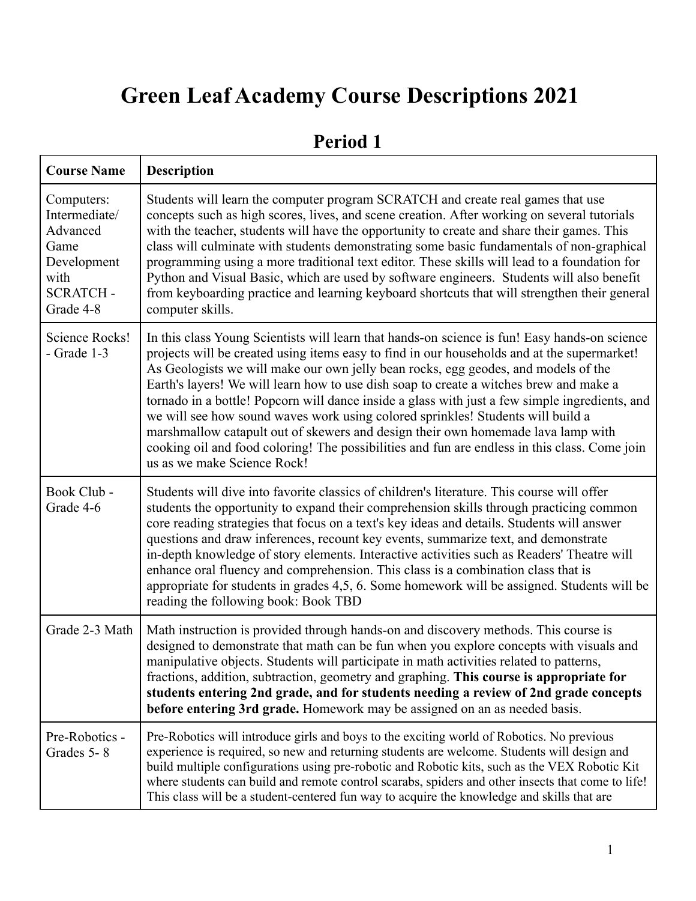# **Green Leaf Academy Course Descriptions 2021**

| <b>Course Name</b>                                                                                     | <b>Description</b>                                                                                                                                                                                                                                                                                                                                                                                                                                                                                                                                                                                                                                                                                                                                                                    |
|--------------------------------------------------------------------------------------------------------|---------------------------------------------------------------------------------------------------------------------------------------------------------------------------------------------------------------------------------------------------------------------------------------------------------------------------------------------------------------------------------------------------------------------------------------------------------------------------------------------------------------------------------------------------------------------------------------------------------------------------------------------------------------------------------------------------------------------------------------------------------------------------------------|
| Computers:<br>Intermediate/<br>Advanced<br>Game<br>Development<br>with<br><b>SCRATCH-</b><br>Grade 4-8 | Students will learn the computer program SCRATCH and create real games that use<br>concepts such as high scores, lives, and scene creation. After working on several tutorials<br>with the teacher, students will have the opportunity to create and share their games. This<br>class will culminate with students demonstrating some basic fundamentals of non-graphical<br>programming using a more traditional text editor. These skills will lead to a foundation for<br>Python and Visual Basic, which are used by software engineers. Students will also benefit<br>from keyboarding practice and learning keyboard shortcuts that will strengthen their general<br>computer skills.                                                                                            |
| Science Rocks!<br>$-$ Grade 1-3                                                                        | In this class Young Scientists will learn that hands-on science is fun! Easy hands-on science<br>projects will be created using items easy to find in our households and at the supermarket!<br>As Geologists we will make our own jelly bean rocks, egg geodes, and models of the<br>Earth's layers! We will learn how to use dish soap to create a witches brew and make a<br>tornado in a bottle! Popcorn will dance inside a glass with just a few simple ingredients, and<br>we will see how sound waves work using colored sprinkles! Students will build a<br>marshmallow catapult out of skewers and design their own homemade lava lamp with<br>cooking oil and food coloring! The possibilities and fun are endless in this class. Come join<br>us as we make Science Rock! |
| Book Club -<br>Grade 4-6                                                                               | Students will dive into favorite classics of children's literature. This course will offer<br>students the opportunity to expand their comprehension skills through practicing common<br>core reading strategies that focus on a text's key ideas and details. Students will answer<br>questions and draw inferences, recount key events, summarize text, and demonstrate<br>in-depth knowledge of story elements. Interactive activities such as Readers' Theatre will<br>enhance oral fluency and comprehension. This class is a combination class that is<br>appropriate for students in grades 4,5, 6. Some homework will be assigned. Students will be<br>reading the following book: Book TBD                                                                                   |
| Grade 2-3 Math                                                                                         | Math instruction is provided through hands-on and discovery methods. This course is<br>designed to demonstrate that math can be fun when you explore concepts with visuals and<br>manipulative objects. Students will participate in math activities related to patterns,<br>fractions, addition, subtraction, geometry and graphing. This course is appropriate for<br>students entering 2nd grade, and for students needing a review of 2nd grade concepts<br>before entering 3rd grade. Homework may be assigned on an as needed basis.                                                                                                                                                                                                                                            |
| Pre-Robotics -<br>Grades 5-8                                                                           | Pre-Robotics will introduce girls and boys to the exciting world of Robotics. No previous<br>experience is required, so new and returning students are welcome. Students will design and<br>build multiple configurations using pre-robotic and Robotic kits, such as the VEX Robotic Kit<br>where students can build and remote control scarabs, spiders and other insects that come to life!<br>This class will be a student-centered fun way to acquire the knowledge and skills that are                                                                                                                                                                                                                                                                                          |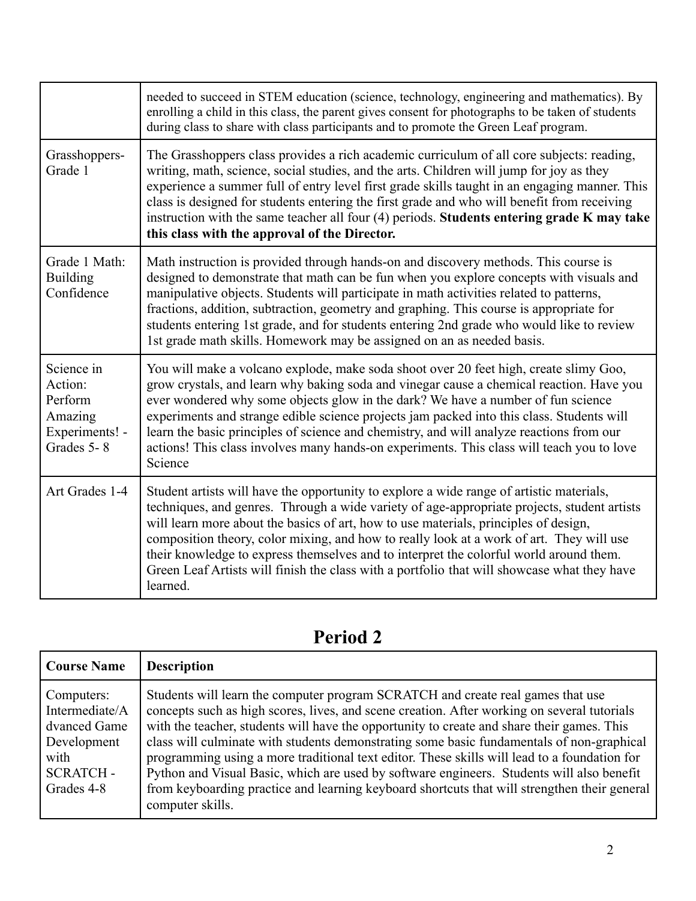|                                                                             | needed to succeed in STEM education (science, technology, engineering and mathematics). By<br>enrolling a child in this class, the parent gives consent for photographs to be taken of students<br>during class to share with class participants and to promote the Green Leaf program.                                                                                                                                                                                                                                                                                          |
|-----------------------------------------------------------------------------|----------------------------------------------------------------------------------------------------------------------------------------------------------------------------------------------------------------------------------------------------------------------------------------------------------------------------------------------------------------------------------------------------------------------------------------------------------------------------------------------------------------------------------------------------------------------------------|
| Grasshoppers-<br>Grade 1                                                    | The Grasshoppers class provides a rich academic curriculum of all core subjects: reading,<br>writing, math, science, social studies, and the arts. Children will jump for joy as they<br>experience a summer full of entry level first grade skills taught in an engaging manner. This<br>class is designed for students entering the first grade and who will benefit from receiving<br>instruction with the same teacher all four (4) periods. Students entering grade K may take<br>this class with the approval of the Director.                                             |
| Grade 1 Math:<br><b>Building</b><br>Confidence                              | Math instruction is provided through hands-on and discovery methods. This course is<br>designed to demonstrate that math can be fun when you explore concepts with visuals and<br>manipulative objects. Students will participate in math activities related to patterns,<br>fractions, addition, subtraction, geometry and graphing. This course is appropriate for<br>students entering 1st grade, and for students entering 2nd grade who would like to review<br>1st grade math skills. Homework may be assigned on an as needed basis.                                      |
| Science in<br>Action:<br>Perform<br>Amazing<br>Experiments! -<br>Grades 5-8 | You will make a volcano explode, make soda shoot over 20 feet high, create slimy Goo,<br>grow crystals, and learn why baking soda and vinegar cause a chemical reaction. Have you<br>ever wondered why some objects glow in the dark? We have a number of fun science<br>experiments and strange edible science projects jam packed into this class. Students will<br>learn the basic principles of science and chemistry, and will analyze reactions from our<br>actions! This class involves many hands-on experiments. This class will teach you to love<br>Science           |
| Art Grades 1-4                                                              | Student artists will have the opportunity to explore a wide range of artistic materials,<br>techniques, and genres. Through a wide variety of age-appropriate projects, student artists<br>will learn more about the basics of art, how to use materials, principles of design,<br>composition theory, color mixing, and how to really look at a work of art. They will use<br>their knowledge to express themselves and to interpret the colorful world around them.<br>Green Leaf Artists will finish the class with a portfolio that will showcase what they have<br>learned. |

| <b>Course Name</b>                                                                                   | <b>Description</b>                                                                                                                                                                                                                                                                                                                                                                                                                                                                                                                                                                                                                                                                         |
|------------------------------------------------------------------------------------------------------|--------------------------------------------------------------------------------------------------------------------------------------------------------------------------------------------------------------------------------------------------------------------------------------------------------------------------------------------------------------------------------------------------------------------------------------------------------------------------------------------------------------------------------------------------------------------------------------------------------------------------------------------------------------------------------------------|
| Computers:<br>Intermediate/A<br>dvanced Game<br>Development<br>with<br><b>SCRATCH-</b><br>Grades 4-8 | Students will learn the computer program SCRATCH and create real games that use<br>concepts such as high scores, lives, and scene creation. After working on several tutorials<br>with the teacher, students will have the opportunity to create and share their games. This<br>class will culminate with students demonstrating some basic fundamentals of non-graphical<br>programming using a more traditional text editor. These skills will lead to a foundation for<br>Python and Visual Basic, which are used by software engineers. Students will also benefit<br>from keyboarding practice and learning keyboard shortcuts that will strengthen their general<br>computer skills. |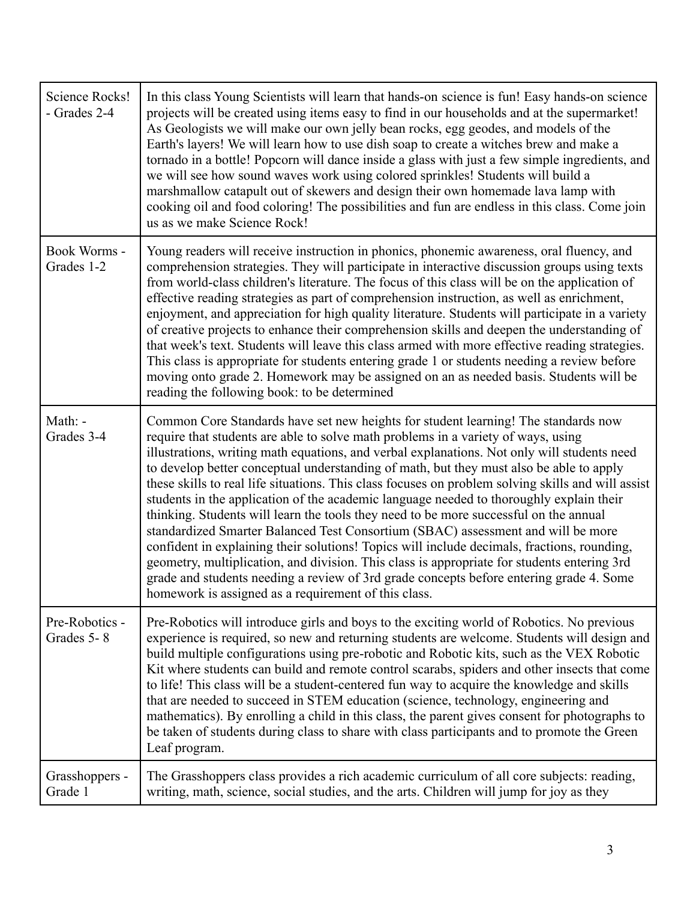| Science Rocks!<br>- Grades 2-4 | In this class Young Scientists will learn that hands-on science is fun! Easy hands-on science<br>projects will be created using items easy to find in our households and at the supermarket!<br>As Geologists we will make our own jelly bean rocks, egg geodes, and models of the<br>Earth's layers! We will learn how to use dish soap to create a witches brew and make a<br>tornado in a bottle! Popcorn will dance inside a glass with just a few simple ingredients, and<br>we will see how sound waves work using colored sprinkles! Students will build a<br>marshmallow catapult out of skewers and design their own homemade lava lamp with<br>cooking oil and food coloring! The possibilities and fun are endless in this class. Come join<br>us as we make Science Rock!                                                                                                                                                                                                                                                                                                            |
|--------------------------------|--------------------------------------------------------------------------------------------------------------------------------------------------------------------------------------------------------------------------------------------------------------------------------------------------------------------------------------------------------------------------------------------------------------------------------------------------------------------------------------------------------------------------------------------------------------------------------------------------------------------------------------------------------------------------------------------------------------------------------------------------------------------------------------------------------------------------------------------------------------------------------------------------------------------------------------------------------------------------------------------------------------------------------------------------------------------------------------------------|
| Book Worms -<br>Grades 1-2     | Young readers will receive instruction in phonics, phonemic awareness, oral fluency, and<br>comprehension strategies. They will participate in interactive discussion groups using texts<br>from world-class children's literature. The focus of this class will be on the application of<br>effective reading strategies as part of comprehension instruction, as well as enrichment,<br>enjoyment, and appreciation for high quality literature. Students will participate in a variety<br>of creative projects to enhance their comprehension skills and deepen the understanding of<br>that week's text. Students will leave this class armed with more effective reading strategies.<br>This class is appropriate for students entering grade 1 or students needing a review before<br>moving onto grade 2. Homework may be assigned on an as needed basis. Students will be<br>reading the following book: to be determined                                                                                                                                                                |
| Math: -<br>Grades 3-4          | Common Core Standards have set new heights for student learning! The standards now<br>require that students are able to solve math problems in a variety of ways, using<br>illustrations, writing math equations, and verbal explanations. Not only will students need<br>to develop better conceptual understanding of math, but they must also be able to apply<br>these skills to real life situations. This class focuses on problem solving skills and will assist<br>students in the application of the academic language needed to thoroughly explain their<br>thinking. Students will learn the tools they need to be more successful on the annual<br>standardized Smarter Balanced Test Consortium (SBAC) assessment and will be more<br>confident in explaining their solutions! Topics will include decimals, fractions, rounding,<br>geometry, multiplication, and division. This class is appropriate for students entering 3rd<br>grade and students needing a review of 3rd grade concepts before entering grade 4. Some<br>homework is assigned as a requirement of this class. |
| Pre-Robotics -<br>Grades 5-8   | Pre-Robotics will introduce girls and boys to the exciting world of Robotics. No previous<br>experience is required, so new and returning students are welcome. Students will design and<br>build multiple configurations using pre-robotic and Robotic kits, such as the VEX Robotic<br>Kit where students can build and remote control scarabs, spiders and other insects that come<br>to life! This class will be a student-centered fun way to acquire the knowledge and skills<br>that are needed to succeed in STEM education (science, technology, engineering and<br>mathematics). By enrolling a child in this class, the parent gives consent for photographs to<br>be taken of students during class to share with class participants and to promote the Green<br>Leaf program.                                                                                                                                                                                                                                                                                                       |
| Grasshoppers -<br>Grade 1      | The Grasshoppers class provides a rich academic curriculum of all core subjects: reading,<br>writing, math, science, social studies, and the arts. Children will jump for joy as they                                                                                                                                                                                                                                                                                                                                                                                                                                                                                                                                                                                                                                                                                                                                                                                                                                                                                                            |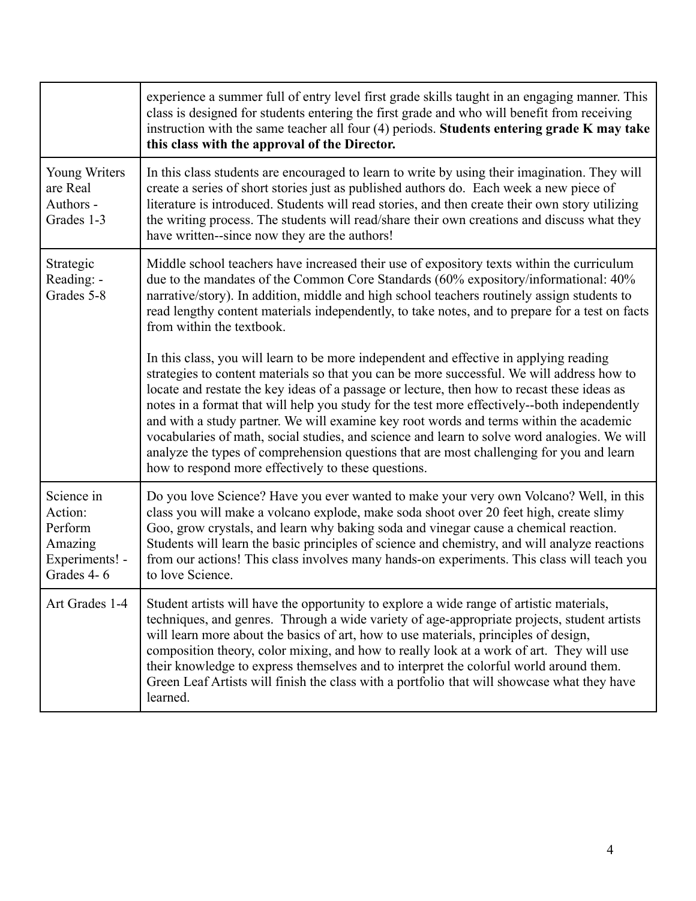|                                                                             | experience a summer full of entry level first grade skills taught in an engaging manner. This<br>class is designed for students entering the first grade and who will benefit from receiving<br>instruction with the same teacher all four (4) periods. Students entering grade K may take<br>this class with the approval of the Director.                                                                                                                                                                                                                                                                                                                                                                                      |
|-----------------------------------------------------------------------------|----------------------------------------------------------------------------------------------------------------------------------------------------------------------------------------------------------------------------------------------------------------------------------------------------------------------------------------------------------------------------------------------------------------------------------------------------------------------------------------------------------------------------------------------------------------------------------------------------------------------------------------------------------------------------------------------------------------------------------|
| Young Writers<br>are Real<br>Authors -<br>Grades 1-3                        | In this class students are encouraged to learn to write by using their imagination. They will<br>create a series of short stories just as published authors do. Each week a new piece of<br>literature is introduced. Students will read stories, and then create their own story utilizing<br>the writing process. The students will read/share their own creations and discuss what they<br>have written-since now they are the authors!                                                                                                                                                                                                                                                                                       |
| Strategic<br>Reading: -<br>Grades 5-8                                       | Middle school teachers have increased their use of expository texts within the curriculum<br>due to the mandates of the Common Core Standards (60% expository/informational: 40%<br>narrative/story). In addition, middle and high school teachers routinely assign students to<br>read lengthy content materials independently, to take notes, and to prepare for a test on facts<br>from within the textbook.                                                                                                                                                                                                                                                                                                                  |
|                                                                             | In this class, you will learn to be more independent and effective in applying reading<br>strategies to content materials so that you can be more successful. We will address how to<br>locate and restate the key ideas of a passage or lecture, then how to recast these ideas as<br>notes in a format that will help you study for the test more effectively--both independently<br>and with a study partner. We will examine key root words and terms within the academic<br>vocabularies of math, social studies, and science and learn to solve word analogies. We will<br>analyze the types of comprehension questions that are most challenging for you and learn<br>how to respond more effectively to these questions. |
| Science in<br>Action:<br>Perform<br>Amazing<br>Experiments! -<br>Grades 4-6 | Do you love Science? Have you ever wanted to make your very own Volcano? Well, in this<br>class you will make a volcano explode, make soda shoot over 20 feet high, create slimy<br>Goo, grow crystals, and learn why baking soda and vinegar cause a chemical reaction.<br>Students will learn the basic principles of science and chemistry, and will analyze reactions<br>from our actions! This class involves many hands-on experiments. This class will teach you<br>to love Science.                                                                                                                                                                                                                                      |
| Art Grades 1-4                                                              | Student artists will have the opportunity to explore a wide range of artistic materials,<br>techniques, and genres. Through a wide variety of age-appropriate projects, student artists<br>will learn more about the basics of art, how to use materials, principles of design,<br>composition theory, color mixing, and how to really look at a work of art. They will use<br>their knowledge to express themselves and to interpret the colorful world around them.<br>Green Leaf Artists will finish the class with a portfolio that will showcase what they have<br>learned.                                                                                                                                                 |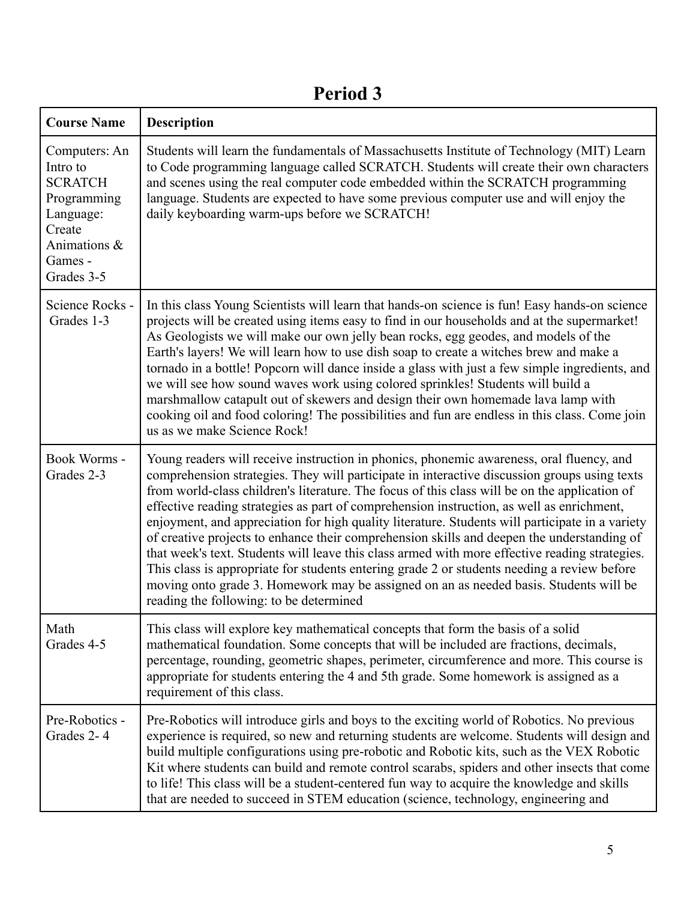| <b>Course Name</b>                                                                                                         | <b>Description</b>                                                                                                                                                                                                                                                                                                                                                                                                                                                                                                                                                                                                                                                                                                                                                                                                                                                                                                           |
|----------------------------------------------------------------------------------------------------------------------------|------------------------------------------------------------------------------------------------------------------------------------------------------------------------------------------------------------------------------------------------------------------------------------------------------------------------------------------------------------------------------------------------------------------------------------------------------------------------------------------------------------------------------------------------------------------------------------------------------------------------------------------------------------------------------------------------------------------------------------------------------------------------------------------------------------------------------------------------------------------------------------------------------------------------------|
| Computers: An<br>Intro to<br><b>SCRATCH</b><br>Programming<br>Language:<br>Create<br>Animations &<br>Games -<br>Grades 3-5 | Students will learn the fundamentals of Massachusetts Institute of Technology (MIT) Learn<br>to Code programming language called SCRATCH. Students will create their own characters<br>and scenes using the real computer code embedded within the SCRATCH programming<br>language. Students are expected to have some previous computer use and will enjoy the<br>daily keyboarding warm-ups before we SCRATCH!                                                                                                                                                                                                                                                                                                                                                                                                                                                                                                             |
| Science Rocks -<br>Grades 1-3                                                                                              | In this class Young Scientists will learn that hands-on science is fun! Easy hands-on science<br>projects will be created using items easy to find in our households and at the supermarket!<br>As Geologists we will make our own jelly bean rocks, egg geodes, and models of the<br>Earth's layers! We will learn how to use dish soap to create a witches brew and make a<br>tornado in a bottle! Popcorn will dance inside a glass with just a few simple ingredients, and<br>we will see how sound waves work using colored sprinkles! Students will build a<br>marshmallow catapult out of skewers and design their own homemade lava lamp with<br>cooking oil and food coloring! The possibilities and fun are endless in this class. Come join<br>us as we make Science Rock!                                                                                                                                        |
| Book Worms -<br>Grades 2-3                                                                                                 | Young readers will receive instruction in phonics, phonemic awareness, oral fluency, and<br>comprehension strategies. They will participate in interactive discussion groups using texts<br>from world-class children's literature. The focus of this class will be on the application of<br>effective reading strategies as part of comprehension instruction, as well as enrichment,<br>enjoyment, and appreciation for high quality literature. Students will participate in a variety<br>of creative projects to enhance their comprehension skills and deepen the understanding of<br>that week's text. Students will leave this class armed with more effective reading strategies.<br>This class is appropriate for students entering grade 2 or students needing a review before<br>moving onto grade 3. Homework may be assigned on an as needed basis. Students will be<br>reading the following: to be determined |
| Math<br>Grades 4-5                                                                                                         | This class will explore key mathematical concepts that form the basis of a solid<br>mathematical foundation. Some concepts that will be included are fractions, decimals,<br>percentage, rounding, geometric shapes, perimeter, circumference and more. This course is<br>appropriate for students entering the 4 and 5th grade. Some homework is assigned as a<br>requirement of this class.                                                                                                                                                                                                                                                                                                                                                                                                                                                                                                                                |
| Pre-Robotics -<br>Grades 2-4                                                                                               | Pre-Robotics will introduce girls and boys to the exciting world of Robotics. No previous<br>experience is required, so new and returning students are welcome. Students will design and<br>build multiple configurations using pre-robotic and Robotic kits, such as the VEX Robotic<br>Kit where students can build and remote control scarabs, spiders and other insects that come<br>to life! This class will be a student-centered fun way to acquire the knowledge and skills<br>that are needed to succeed in STEM education (science, technology, engineering and                                                                                                                                                                                                                                                                                                                                                    |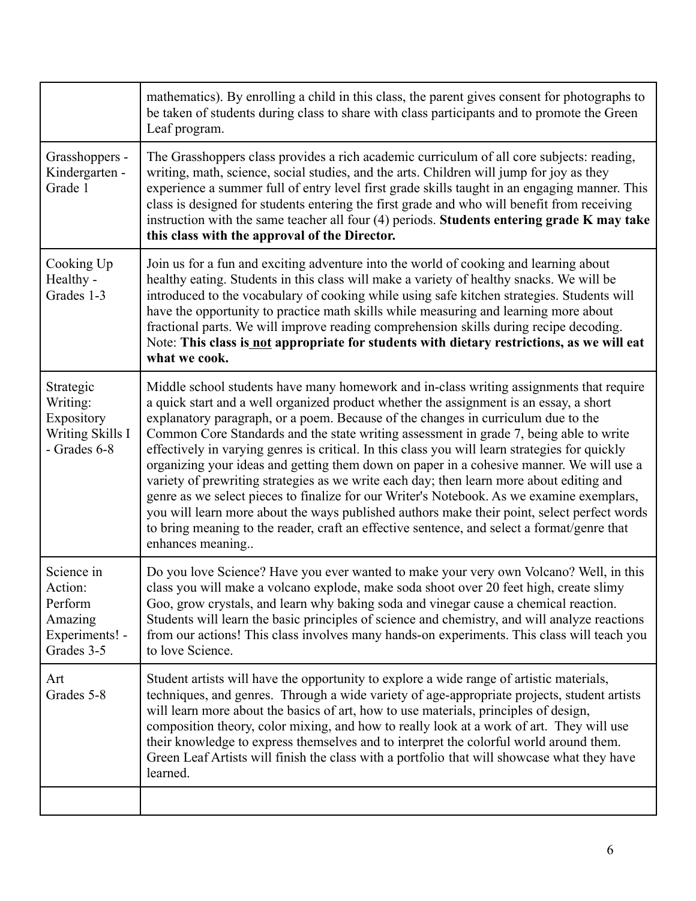|                                                                             | mathematics). By enrolling a child in this class, the parent gives consent for photographs to<br>be taken of students during class to share with class participants and to promote the Green<br>Leaf program.                                                                                                                                                                                                                                                                                                                                                                                                                                                                                                                                                                                                                                                                                                                                                             |
|-----------------------------------------------------------------------------|---------------------------------------------------------------------------------------------------------------------------------------------------------------------------------------------------------------------------------------------------------------------------------------------------------------------------------------------------------------------------------------------------------------------------------------------------------------------------------------------------------------------------------------------------------------------------------------------------------------------------------------------------------------------------------------------------------------------------------------------------------------------------------------------------------------------------------------------------------------------------------------------------------------------------------------------------------------------------|
| Grasshoppers -<br>Kindergarten -<br>Grade 1                                 | The Grasshoppers class provides a rich academic curriculum of all core subjects: reading,<br>writing, math, science, social studies, and the arts. Children will jump for joy as they<br>experience a summer full of entry level first grade skills taught in an engaging manner. This<br>class is designed for students entering the first grade and who will benefit from receiving<br>instruction with the same teacher all four (4) periods. Students entering grade K may take<br>this class with the approval of the Director.                                                                                                                                                                                                                                                                                                                                                                                                                                      |
| Cooking Up<br>Healthy -<br>Grades 1-3                                       | Join us for a fun and exciting adventure into the world of cooking and learning about<br>healthy eating. Students in this class will make a variety of healthy snacks. We will be<br>introduced to the vocabulary of cooking while using safe kitchen strategies. Students will<br>have the opportunity to practice math skills while measuring and learning more about<br>fractional parts. We will improve reading comprehension skills during recipe decoding.<br>Note: This class is not appropriate for students with dietary restrictions, as we will eat<br>what we cook.                                                                                                                                                                                                                                                                                                                                                                                          |
| Strategic<br>Writing:<br>Expository<br>Writing Skills I<br>- Grades 6-8     | Middle school students have many homework and in-class writing assignments that require<br>a quick start and a well organized product whether the assignment is an essay, a short<br>explanatory paragraph, or a poem. Because of the changes in curriculum due to the<br>Common Core Standards and the state writing assessment in grade 7, being able to write<br>effectively in varying genres is critical. In this class you will learn strategies for quickly<br>organizing your ideas and getting them down on paper in a cohesive manner. We will use a<br>variety of prewriting strategies as we write each day; then learn more about editing and<br>genre as we select pieces to finalize for our Writer's Notebook. As we examine exemplars,<br>you will learn more about the ways published authors make their point, select perfect words<br>to bring meaning to the reader, craft an effective sentence, and select a format/genre that<br>enhances meaning |
| Science in<br>Action:<br>Perform<br>Amazing<br>Experiments! -<br>Grades 3-5 | Do you love Science? Have you ever wanted to make your very own Volcano? Well, in this<br>class you will make a volcano explode, make soda shoot over 20 feet high, create slimy<br>Goo, grow crystals, and learn why baking soda and vinegar cause a chemical reaction.<br>Students will learn the basic principles of science and chemistry, and will analyze reactions<br>from our actions! This class involves many hands-on experiments. This class will teach you<br>to love Science.                                                                                                                                                                                                                                                                                                                                                                                                                                                                               |
| Art<br>Grades 5-8                                                           | Student artists will have the opportunity to explore a wide range of artistic materials,<br>techniques, and genres. Through a wide variety of age-appropriate projects, student artists<br>will learn more about the basics of art, how to use materials, principles of design,<br>composition theory, color mixing, and how to really look at a work of art. They will use<br>their knowledge to express themselves and to interpret the colorful world around them.<br>Green Leaf Artists will finish the class with a portfolio that will showcase what they have<br>learned.                                                                                                                                                                                                                                                                                                                                                                                          |
|                                                                             |                                                                                                                                                                                                                                                                                                                                                                                                                                                                                                                                                                                                                                                                                                                                                                                                                                                                                                                                                                           |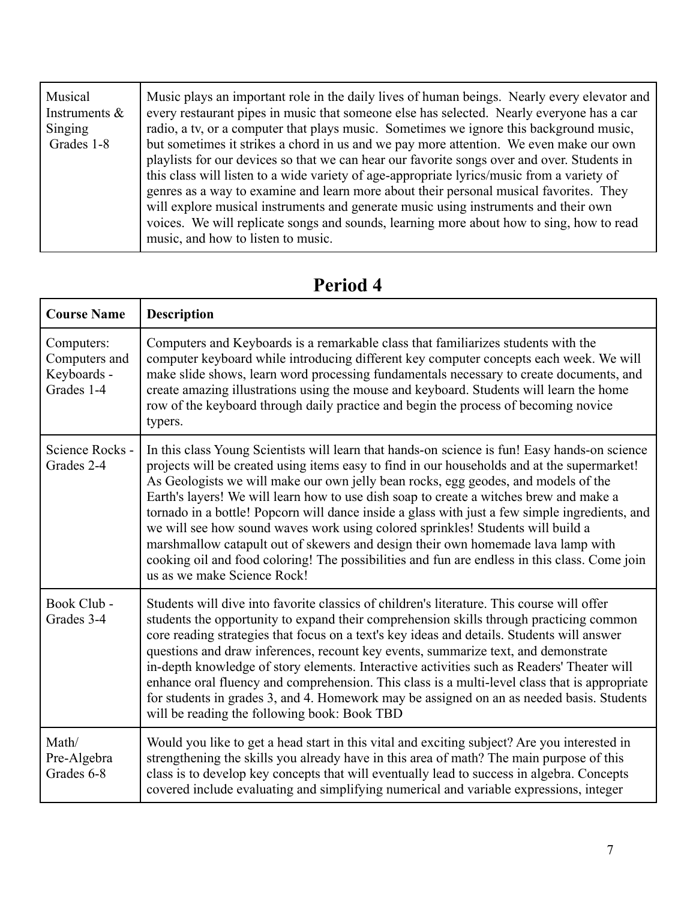| Musical<br>Instruments $\&$<br>Singing<br>Grades 1-8 | Music plays an important role in the daily lives of human beings. Nearly every elevator and<br>every restaurant pipes in music that someone else has selected. Nearly everyone has a car<br>radio, a tv, or a computer that plays music. Sometimes we ignore this background music,<br>but sometimes it strikes a chord in us and we pay more attention. We even make our own<br>playlists for our devices so that we can hear our favorite songs over and over. Students in<br>this class will listen to a wide variety of age-appropriate lyrics/music from a variety of<br>genres as a way to examine and learn more about their personal musical favorities. They<br>will explore musical instruments and generate music using instruments and their own<br>voices. We will replicate songs and sounds, learning more about how to sing, how to read<br>music, and how to listen to music. |
|------------------------------------------------------|------------------------------------------------------------------------------------------------------------------------------------------------------------------------------------------------------------------------------------------------------------------------------------------------------------------------------------------------------------------------------------------------------------------------------------------------------------------------------------------------------------------------------------------------------------------------------------------------------------------------------------------------------------------------------------------------------------------------------------------------------------------------------------------------------------------------------------------------------------------------------------------------|
|------------------------------------------------------|------------------------------------------------------------------------------------------------------------------------------------------------------------------------------------------------------------------------------------------------------------------------------------------------------------------------------------------------------------------------------------------------------------------------------------------------------------------------------------------------------------------------------------------------------------------------------------------------------------------------------------------------------------------------------------------------------------------------------------------------------------------------------------------------------------------------------------------------------------------------------------------------|

| <b>Course Name</b>                                       | <b>Description</b>                                                                                                                                                                                                                                                                                                                                                                                                                                                                                                                                                                                                                                                                                                                                                                    |
|----------------------------------------------------------|---------------------------------------------------------------------------------------------------------------------------------------------------------------------------------------------------------------------------------------------------------------------------------------------------------------------------------------------------------------------------------------------------------------------------------------------------------------------------------------------------------------------------------------------------------------------------------------------------------------------------------------------------------------------------------------------------------------------------------------------------------------------------------------|
| Computers:<br>Computers and<br>Keyboards -<br>Grades 1-4 | Computers and Keyboards is a remarkable class that familiarizes students with the<br>computer keyboard while introducing different key computer concepts each week. We will<br>make slide shows, learn word processing fundamentals necessary to create documents, and<br>create amazing illustrations using the mouse and keyboard. Students will learn the home<br>row of the keyboard through daily practice and begin the process of becoming novice<br>typers.                                                                                                                                                                                                                                                                                                                   |
| Science Rocks -<br>Grades 2-4                            | In this class Young Scientists will learn that hands-on science is fun! Easy hands-on science<br>projects will be created using items easy to find in our households and at the supermarket!<br>As Geologists we will make our own jelly bean rocks, egg geodes, and models of the<br>Earth's layers! We will learn how to use dish soap to create a witches brew and make a<br>tornado in a bottle! Popcorn will dance inside a glass with just a few simple ingredients, and<br>we will see how sound waves work using colored sprinkles! Students will build a<br>marshmallow catapult out of skewers and design their own homemade lava lamp with<br>cooking oil and food coloring! The possibilities and fun are endless in this class. Come join<br>us as we make Science Rock! |
| Book Club -<br>Grades 3-4                                | Students will dive into favorite classics of children's literature. This course will offer<br>students the opportunity to expand their comprehension skills through practicing common<br>core reading strategies that focus on a text's key ideas and details. Students will answer<br>questions and draw inferences, recount key events, summarize text, and demonstrate<br>in-depth knowledge of story elements. Interactive activities such as Readers' Theater will<br>enhance oral fluency and comprehension. This class is a multi-level class that is appropriate<br>for students in grades 3, and 4. Homework may be assigned on an as needed basis. Students<br>will be reading the following book: Book TBD                                                                 |
| Math/<br>Pre-Algebra<br>Grades 6-8                       | Would you like to get a head start in this vital and exciting subject? Are you interested in<br>strengthening the skills you already have in this area of math? The main purpose of this<br>class is to develop key concepts that will eventually lead to success in algebra. Concepts<br>covered include evaluating and simplifying numerical and variable expressions, integer                                                                                                                                                                                                                                                                                                                                                                                                      |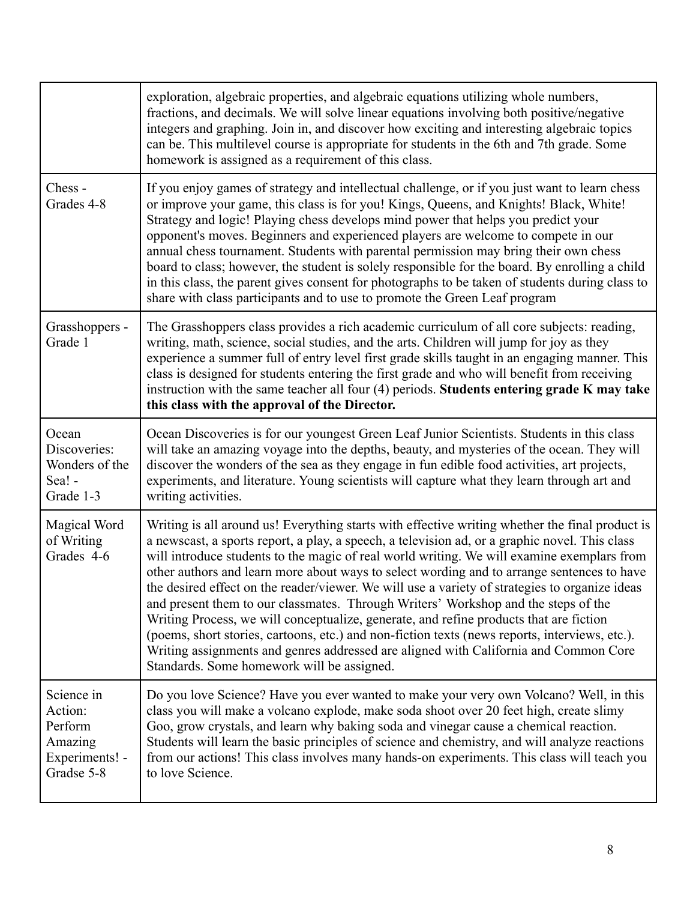|                                                                             | exploration, algebraic properties, and algebraic equations utilizing whole numbers,<br>fractions, and decimals. We will solve linear equations involving both positive/negative<br>integers and graphing. Join in, and discover how exciting and interesting algebraic topics<br>can be. This multilevel course is appropriate for students in the 6th and 7th grade. Some<br>homework is assigned as a requirement of this class.                                                                                                                                                                                                                                                                                                                                                                                                                                                                                      |
|-----------------------------------------------------------------------------|-------------------------------------------------------------------------------------------------------------------------------------------------------------------------------------------------------------------------------------------------------------------------------------------------------------------------------------------------------------------------------------------------------------------------------------------------------------------------------------------------------------------------------------------------------------------------------------------------------------------------------------------------------------------------------------------------------------------------------------------------------------------------------------------------------------------------------------------------------------------------------------------------------------------------|
| Chess-<br>Grades 4-8                                                        | If you enjoy games of strategy and intellectual challenge, or if you just want to learn chess<br>or improve your game, this class is for you! Kings, Queens, and Knights! Black, White!<br>Strategy and logic! Playing chess develops mind power that helps you predict your<br>opponent's moves. Beginners and experienced players are welcome to compete in our<br>annual chess tournament. Students with parental permission may bring their own chess<br>board to class; however, the student is solely responsible for the board. By enrolling a child<br>in this class, the parent gives consent for photographs to be taken of students during class to<br>share with class participants and to use to promote the Green Leaf program                                                                                                                                                                            |
| Grasshoppers -<br>Grade 1                                                   | The Grasshoppers class provides a rich academic curriculum of all core subjects: reading,<br>writing, math, science, social studies, and the arts. Children will jump for joy as they<br>experience a summer full of entry level first grade skills taught in an engaging manner. This<br>class is designed for students entering the first grade and who will benefit from receiving<br>instruction with the same teacher all four (4) periods. Students entering grade K may take<br>this class with the approval of the Director.                                                                                                                                                                                                                                                                                                                                                                                    |
| Ocean<br>Discoveries:<br>Wonders of the<br>Sea! -<br>Grade 1-3              | Ocean Discoveries is for our youngest Green Leaf Junior Scientists. Students in this class<br>will take an amazing voyage into the depths, beauty, and mysteries of the ocean. They will<br>discover the wonders of the sea as they engage in fun edible food activities, art projects,<br>experiments, and literature. Young scientists will capture what they learn through art and<br>writing activities.                                                                                                                                                                                                                                                                                                                                                                                                                                                                                                            |
| Magical Word<br>of Writing<br>Grades 4-6                                    | Writing is all around us! Everything starts with effective writing whether the final product is<br>a newscast, a sports report, a play, a speech, a television ad, or a graphic novel. This class<br>will introduce students to the magic of real world writing. We will examine exemplars from<br>other authors and learn more about ways to select wording and to arrange sentences to have<br>the desired effect on the reader/viewer. We will use a variety of strategies to organize ideas<br>and present them to our classmates. Through Writers' Workshop and the steps of the<br>Writing Process, we will conceptualize, generate, and refine products that are fiction<br>(poems, short stories, cartoons, etc.) and non-fiction texts (news reports, interviews, etc.).<br>Writing assignments and genres addressed are aligned with California and Common Core<br>Standards. Some homework will be assigned. |
| Science in<br>Action:<br>Perform<br>Amazing<br>Experiments! -<br>Gradse 5-8 | Do you love Science? Have you ever wanted to make your very own Volcano? Well, in this<br>class you will make a volcano explode, make soda shoot over 20 feet high, create slimy<br>Goo, grow crystals, and learn why baking soda and vinegar cause a chemical reaction.<br>Students will learn the basic principles of science and chemistry, and will analyze reactions<br>from our actions! This class involves many hands-on experiments. This class will teach you<br>to love Science.                                                                                                                                                                                                                                                                                                                                                                                                                             |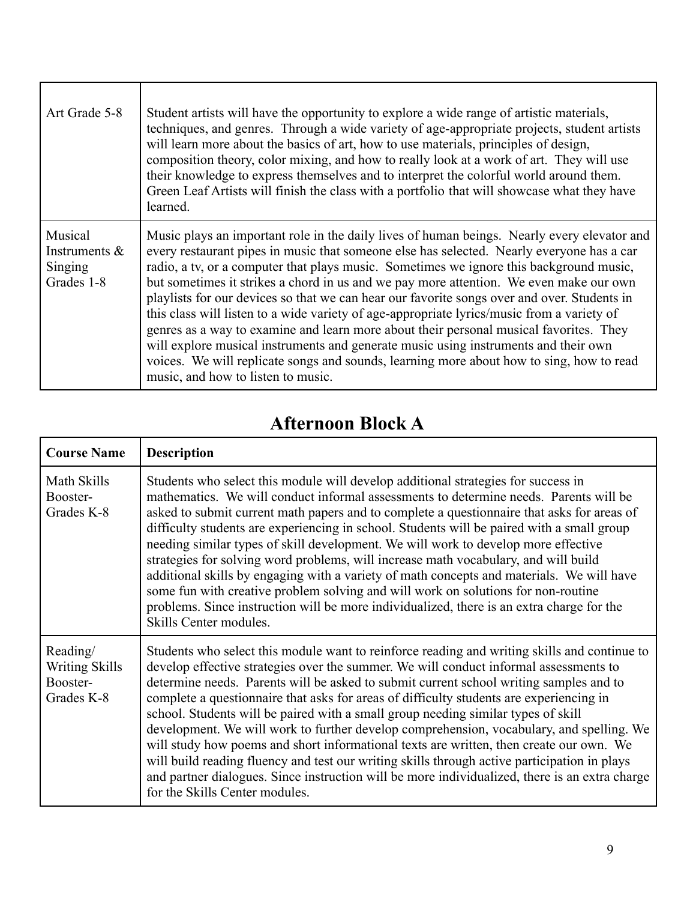| Art Grade 5-8                                        | Student artists will have the opportunity to explore a wide range of artistic materials,<br>techniques, and genres. Through a wide variety of age-appropriate projects, student artists<br>will learn more about the basics of art, how to use materials, principles of design,<br>composition theory, color mixing, and how to really look at a work of art. They will use<br>their knowledge to express themselves and to interpret the colorful world around them.<br>Green Leaf Artists will finish the class with a portfolio that will showcase what they have<br>learned.                                                                                                                                                                                                                                                                                                              |
|------------------------------------------------------|-----------------------------------------------------------------------------------------------------------------------------------------------------------------------------------------------------------------------------------------------------------------------------------------------------------------------------------------------------------------------------------------------------------------------------------------------------------------------------------------------------------------------------------------------------------------------------------------------------------------------------------------------------------------------------------------------------------------------------------------------------------------------------------------------------------------------------------------------------------------------------------------------|
| Musical<br>Instruments $\&$<br>Singing<br>Grades 1-8 | Music plays an important role in the daily lives of human beings. Nearly every elevator and<br>every restaurant pipes in music that someone else has selected. Nearly everyone has a car<br>radio, a tv, or a computer that plays music. Sometimes we ignore this background music,<br>but sometimes it strikes a chord in us and we pay more attention. We even make our own<br>playlists for our devices so that we can hear our favorite songs over and over. Students in<br>this class will listen to a wide variety of age-appropriate lyrics/music from a variety of<br>genres as a way to examine and learn more about their personal musical favorites. They<br>will explore musical instruments and generate music using instruments and their own<br>voices. We will replicate songs and sounds, learning more about how to sing, how to read<br>music, and how to listen to music. |

### **Afternoon Block A**

| <b>Course Name</b>                                          | <b>Description</b>                                                                                                                                                                                                                                                                                                                                                                                                                                                                                                                                                                                                                                                                                                                                                                                                                                                                         |
|-------------------------------------------------------------|--------------------------------------------------------------------------------------------------------------------------------------------------------------------------------------------------------------------------------------------------------------------------------------------------------------------------------------------------------------------------------------------------------------------------------------------------------------------------------------------------------------------------------------------------------------------------------------------------------------------------------------------------------------------------------------------------------------------------------------------------------------------------------------------------------------------------------------------------------------------------------------------|
| Math Skills<br>Booster-<br>Grades K-8                       | Students who select this module will develop additional strategies for success in<br>mathematics. We will conduct informal assessments to determine needs. Parents will be<br>asked to submit current math papers and to complete a questionnaire that asks for areas of<br>difficulty students are experiencing in school. Students will be paired with a small group<br>needing similar types of skill development. We will work to develop more effective<br>strategies for solving word problems, will increase math vocabulary, and will build<br>additional skills by engaging with a variety of math concepts and materials. We will have<br>some fun with creative problem solving and will work on solutions for non-routine<br>problems. Since instruction will be more individualized, there is an extra charge for the<br>Skills Center modules.                               |
| Reading/<br><b>Writing Skills</b><br>Booster-<br>Grades K-8 | Students who select this module want to reinforce reading and writing skills and continue to<br>develop effective strategies over the summer. We will conduct informal assessments to<br>determine needs. Parents will be asked to submit current school writing samples and to<br>complete a questionnaire that asks for areas of difficulty students are experiencing in<br>school. Students will be paired with a small group needing similar types of skill<br>development. We will work to further develop comprehension, vocabulary, and spelling. We<br>will study how poems and short informational texts are written, then create our own. We<br>will build reading fluency and test our writing skills through active participation in plays<br>and partner dialogues. Since instruction will be more individualized, there is an extra charge<br>for the Skills Center modules. |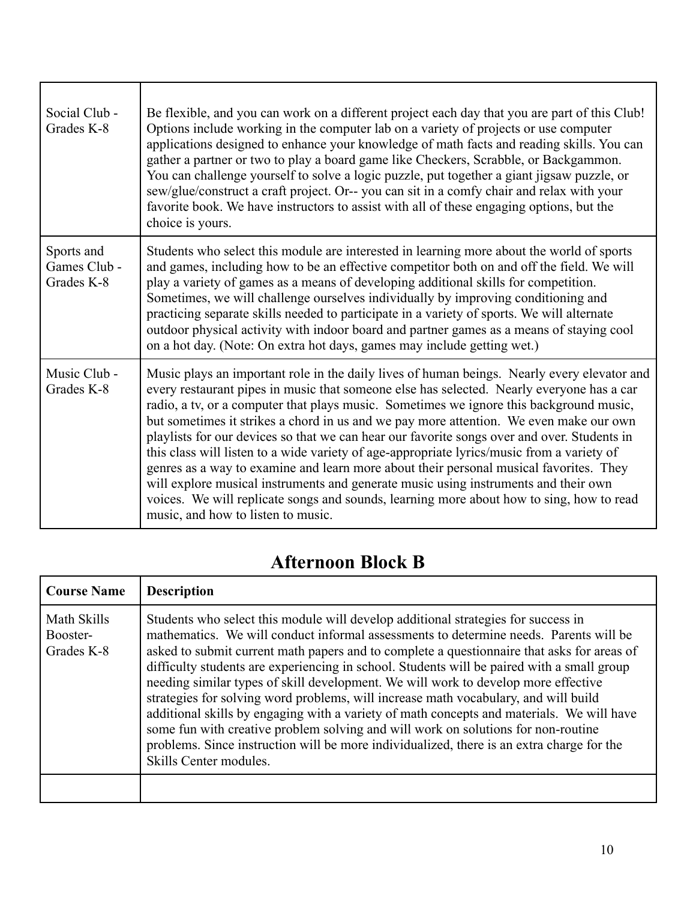| Social Club -<br>Grades K-8              | Be flexible, and you can work on a different project each day that you are part of this Club!<br>Options include working in the computer lab on a variety of projects or use computer<br>applications designed to enhance your knowledge of math facts and reading skills. You can<br>gather a partner or two to play a board game like Checkers, Scrabble, or Backgammon.<br>You can challenge yourself to solve a logic puzzle, put together a giant jigsaw puzzle, or<br>sew/glue/construct a craft project. Or-- you can sit in a comfy chair and relax with your<br>favorite book. We have instructors to assist with all of these engaging options, but the<br>choice is yours.                                                                                                                                                                                                         |
|------------------------------------------|-----------------------------------------------------------------------------------------------------------------------------------------------------------------------------------------------------------------------------------------------------------------------------------------------------------------------------------------------------------------------------------------------------------------------------------------------------------------------------------------------------------------------------------------------------------------------------------------------------------------------------------------------------------------------------------------------------------------------------------------------------------------------------------------------------------------------------------------------------------------------------------------------|
| Sports and<br>Games Club -<br>Grades K-8 | Students who select this module are interested in learning more about the world of sports<br>and games, including how to be an effective competitor both on and off the field. We will<br>play a variety of games as a means of developing additional skills for competition.<br>Sometimes, we will challenge ourselves individually by improving conditioning and<br>practicing separate skills needed to participate in a variety of sports. We will alternate<br>outdoor physical activity with indoor board and partner games as a means of staying cool<br>on a hot day. (Note: On extra hot days, games may include getting wet.)                                                                                                                                                                                                                                                       |
| Music Club -<br>Grades K-8               | Music plays an important role in the daily lives of human beings. Nearly every elevator and<br>every restaurant pipes in music that someone else has selected. Nearly everyone has a car<br>radio, a tv, or a computer that plays music. Sometimes we ignore this background music,<br>but sometimes it strikes a chord in us and we pay more attention. We even make our own<br>playlists for our devices so that we can hear our favorite songs over and over. Students in<br>this class will listen to a wide variety of age-appropriate lyrics/music from a variety of<br>genres as a way to examine and learn more about their personal musical favorites. They<br>will explore musical instruments and generate music using instruments and their own<br>voices. We will replicate songs and sounds, learning more about how to sing, how to read<br>music, and how to listen to music. |

 $\mathbf{r}$ 

#### **Afternoon Block B**

| <b>Course Name</b>                    | <b>Description</b>                                                                                                                                                                                                                                                                                                                                                                                                                                                                                                                                                                                                                                                                                                                                                                                                                                           |
|---------------------------------------|--------------------------------------------------------------------------------------------------------------------------------------------------------------------------------------------------------------------------------------------------------------------------------------------------------------------------------------------------------------------------------------------------------------------------------------------------------------------------------------------------------------------------------------------------------------------------------------------------------------------------------------------------------------------------------------------------------------------------------------------------------------------------------------------------------------------------------------------------------------|
| Math Skills<br>Booster-<br>Grades K-8 | Students who select this module will develop additional strategies for success in<br>mathematics. We will conduct informal assessments to determine needs. Parents will be<br>asked to submit current math papers and to complete a questionnaire that asks for areas of<br>difficulty students are experiencing in school. Students will be paired with a small group<br>needing similar types of skill development. We will work to develop more effective<br>strategies for solving word problems, will increase math vocabulary, and will build<br>additional skills by engaging with a variety of math concepts and materials. We will have<br>some fun with creative problem solving and will work on solutions for non-routine<br>problems. Since instruction will be more individualized, there is an extra charge for the<br>Skills Center modules. |
|                                       |                                                                                                                                                                                                                                                                                                                                                                                                                                                                                                                                                                                                                                                                                                                                                                                                                                                              |